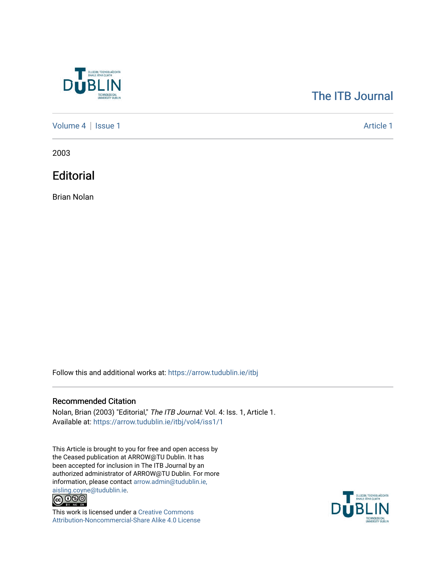

## [The ITB Journal](https://arrow.tudublin.ie/itbj)

[Volume 4](https://arrow.tudublin.ie/itbj/vol4) | [Issue 1](https://arrow.tudublin.ie/itbj/vol4/iss1) Article 1

2003

**Editorial** 

Brian Nolan

Follow this and additional works at: [https://arrow.tudublin.ie/itbj](https://arrow.tudublin.ie/itbj?utm_source=arrow.tudublin.ie%2Fitbj%2Fvol4%2Fiss1%2F1&utm_medium=PDF&utm_campaign=PDFCoverPages) 

## Recommended Citation

Nolan, Brian (2003) "Editorial," The ITB Journal: Vol. 4: Iss. 1, Article 1. Available at: [https://arrow.tudublin.ie/itbj/vol4/iss1/1](https://arrow.tudublin.ie/itbj/vol4/iss1/1?utm_source=arrow.tudublin.ie%2Fitbj%2Fvol4%2Fiss1%2F1&utm_medium=PDF&utm_campaign=PDFCoverPages) 

This Article is brought to you for free and open access by the Ceased publication at ARROW@TU Dublin. It has been accepted for inclusion in The ITB Journal by an authorized administrator of ARROW@TU Dublin. For more information, please contact [arrow.admin@tudublin.ie,](mailto:arrow.admin@tudublin.ie,%20aisling.coyne@tudublin.ie) 



This work is licensed under a [Creative Commons](http://creativecommons.org/licenses/by-nc-sa/4.0/) [Attribution-Noncommercial-Share Alike 4.0 License](http://creativecommons.org/licenses/by-nc-sa/4.0/)